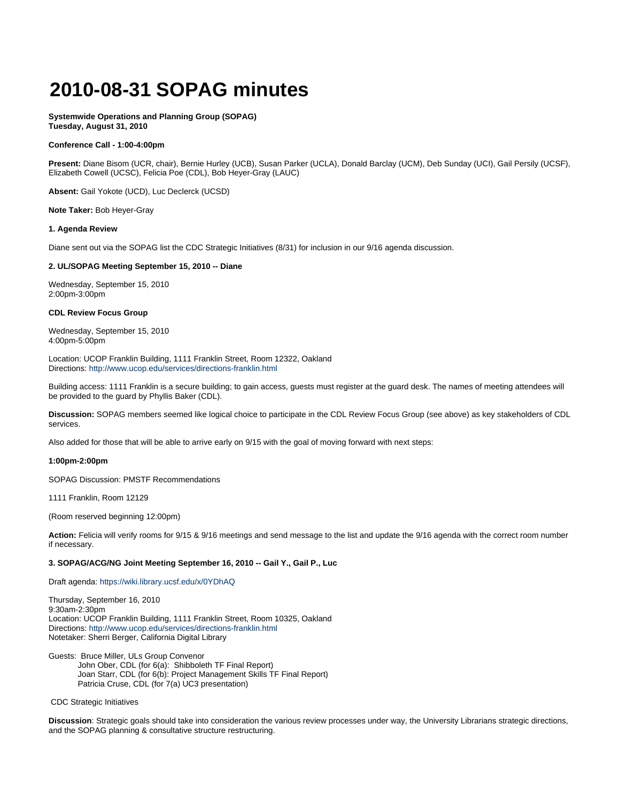# **2010-08-31 SOPAG minutes**

**Systemwide Operations and Planning Group (SOPAG) Tuesday, August 31, 2010**

### **Conference Call - 1:00-4:00pm**

**Present:** Diane Bisom (UCR, chair), Bernie Hurley (UCB), Susan Parker (UCLA), Donald Barclay (UCM), Deb Sunday (UCI), Gail Persily (UCSF), Elizabeth Cowell (UCSC), Felicia Poe (CDL), Bob Heyer-Gray (LAUC)

**Absent:** Gail Yokote (UCD), Luc Declerck (UCSD)

**Note Taker:** Bob Heyer-Gray

#### **1. Agenda Review**

Diane sent out via the SOPAG list the CDC Strategic Initiatives (8/31) for inclusion in our 9/16 agenda discussion.

## **2. UL/SOPAG Meeting September 15, 2010 -- Diane**

Wednesday, September 15, 2010 2:00pm-3:00pm

## **CDL Review Focus Group**

Wednesday, September 15, 2010 4:00pm-5:00pm

Location: UCOP Franklin Building, 1111 Franklin Street, Room 12322, Oakland Directions: <http://www.ucop.edu/services/directions-franklin.html>

Building access: 1111 Franklin is a secure building; to gain access, guests must register at the guard desk. The names of meeting attendees will be provided to the guard by Phyllis Baker (CDL).

**Discussion:** SOPAG members seemed like logical choice to participate in the CDL Review Focus Group (see above) as key stakeholders of CDL services.

Also added for those that will be able to arrive early on 9/15 with the goal of moving forward with next steps:

## **1:00pm-2:00pm**

SOPAG Discussion: PMSTF Recommendations

1111 Franklin, Room 12129

(Room reserved beginning 12:00pm)

**Action:** Felicia will verify rooms for 9/15 & 9/16 meetings and send message to the list and update the 9/16 agenda with the correct room number if necessary.

#### **3. SOPAG/ACG/NG Joint Meeting September 16, 2010 -- Gail Y., Gail P., Luc**

Draft agenda: <https://wiki.library.ucsf.edu/x/0YDhAQ>

Thursday, September 16, 2010 9:30am-2:30pm Location: UCOP Franklin Building, 1111 Franklin Street, Room 10325, Oakland Directions: <http://www.ucop.edu/services/directions-franklin.html> Notetaker: Sherri Berger, California Digital Library

Guests: Bruce Miller, ULs Group Convenor John Ober, CDL (for 6(a): Shibboleth TF Final Report) Joan Starr, CDL (for 6(b): Project Management Skills TF Final Report) Patricia Cruse, CDL (for 7(a) UC3 presentation)

CDC Strategic Initiatives

**Discussion**: Strategic goals should take into consideration the various review processes under way, the University Librarians strategic directions, and the SOPAG planning & consultative structure restructuring.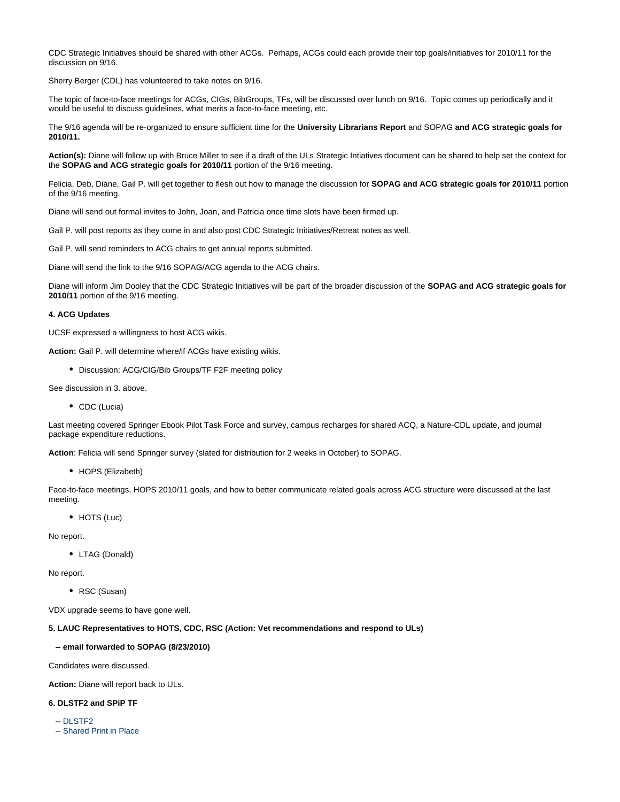CDC Strategic Initiatives should be shared with other ACGs. Perhaps, ACGs could each provide their top goals/initiatives for 2010/11 for the discussion on 9/16.

Sherry Berger (CDL) has volunteered to take notes on 9/16.

The topic of face-to-face meetings for ACGs, CIGs, BibGroups, TFs, will be discussed over lunch on 9/16. Topic comes up periodically and it would be useful to discuss guidelines, what merits a face-to-face meeting, etc.

The 9/16 agenda will be re-organized to ensure sufficient time for the **University Librarians Report** and SOPAG **and ACG strategic goals for 2010/11.**

**Action(s):** Diane will follow up with Bruce Miller to see if a draft of the ULs Strategic Intiatives document can be shared to help set the context for the **SOPAG and ACG strategic goals for 2010/11** portion of the 9/16 meeting.

Felicia, Deb, Diane, Gail P. will get together to flesh out how to manage the discussion for **SOPAG and ACG strategic goals for 2010/11** portion of the 9/16 meeting.

Diane will send out formal invites to John, Joan, and Patricia once time slots have been firmed up.

Gail P. will post reports as they come in and also post CDC Strategic Initiatives/Retreat notes as well.

Gail P. will send reminders to ACG chairs to get annual reports submitted.

Diane will send the link to the 9/16 SOPAG/ACG agenda to the ACG chairs.

Diane will inform Jim Dooley that the CDC Strategic Initiatives will be part of the broader discussion of the **SOPAG and ACG strategic goals for 2010/11** portion of the 9/16 meeting.

#### **4. ACG Updates**

UCSF expressed a willingness to host ACG wikis.

**Action:** Gail P. will determine where/if ACGs have existing wikis.

Discussion: ACG/CIG/Bib Groups/TF F2F meeting policy

See discussion in 3. above.

• CDC (Lucia)

Last meeting covered Springer Ebook Pilot Task Force and survey, campus recharges for shared ACQ, a Nature-CDL update, and journal package expenditure reductions.

**Action**: Felicia will send Springer survey (slated for distribution for 2 weeks in October) to SOPAG.

• HOPS (Elizabeth)

Face-to-face meetings, HOPS 2010/11 goals, and how to better communicate related goals across ACG structure were discussed at the last meeting.

• HOTS (Luc)

No report.

LTAG (Donald)

No report.

RSC (Susan)

VDX upgrade seems to have gone well.

# **5. LAUC Representatives to HOTS, CDC, RSC (Action: Vet recommendations and respond to ULs)**

#### **-- email forwarded to SOPAG (8/23/2010)**

Candidates were discussed.

**Action:** Diane will report back to ULs.

# **6. DLSTF2 and SPiP TF**

-- [DLSTF2](https://wiki.library.ucsf.edu/download/attachments/30448315/SOPAG+Digital+Library+Services+Task+Force+Phase+2.docx?version=1&modificationDate=1279138582000)

-- [Shared Print in Place](https://wiki.library.ucsf.edu/download/attachments/30448315/SOPAG+Shared+Print+in+Place+Task+Force.docx?version=1&modificationDate=1279138604000)